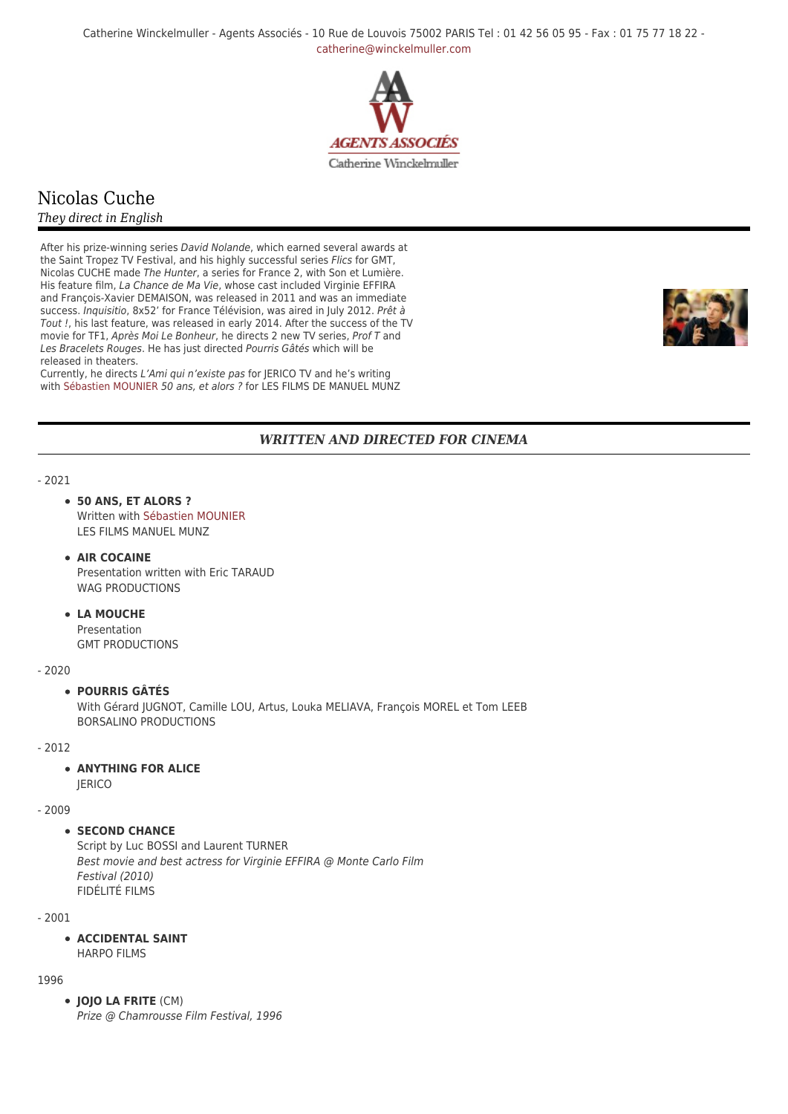Catherine Winckelmuller - Agents Associés - 10 Rue de Louvois 75002 PARIS Tel : 01 42 56 05 95 - Fax : 01 75 77 18 22 [catherine@winckelmuller.com](mailto:catherine@winckelmuller.com)



# Nicolas Cuche

# *They direct in English*

After his prize-winning series David Nolande, which earned several awards at the Saint Tropez TV Festival, and his highly successful series Flics for GMT, Nicolas CUCHE made The Hunter, a series for France 2, with Son et Lumière. His feature film, La Chance de Ma Vie, whose cast included Virginie EFFIRA and François-Xavier DEMAISON, was released in 2011 and was an immediate success. Inquisitio, 8x52' for France Télévision, was aired in July 2012. Prêt à Tout !, his last feature, was released in early 2014. After the success of the TV movie for TF1, Après Moi Le Bonheur, he directs 2 new TV series, Prof T and Les Bracelets Rouges. He has just directed Pourris Gâtés which will be released in theaters.

Currently, he directs L'Ami qui n'existe pas for JERICO TV and he's writing with [Sébastien MOUNIER](https://www.winckelmuller.com/Mounier.html) 50 ans, et alors ? for LES FILMS DE MANUEL MUNZ



# *WRITTEN AND DIRECTED FOR CINEMA*

#### - 2021

#### **50 ANS, ET ALORS ?**

Written with [Sébastien MOUNIER](https://www.winckelmuller.com/Mounier.html) LES FILMS MANUEL MUNZ

#### **AIR COCAINE**

Presentation written with Eric TARAUD WAG PRODUCTIONS

# **LA MOUCHE**

Presentation GMT PRODUCTIONS

#### - 2020

#### **POURRIS GÂTÉS**

With Gérard JUGNOT, Camille LOU, Artus, Louka MELIAVA, François MOREL et Tom LEEB BORSALINO PRODUCTIONS

- 2012

# **• ANYTHING FOR ALICE**

**IERICO** 

# - 2009

#### **• SECOND CHANCE**

Script by Luc BOSSI and Laurent TURNER Best movie and best actress for Virginie EFFIRA @ Monte Carlo Film Festival (2010) FIDÉLITÉ FILMS

- 2001

#### **ACCIDENTAL SAINT** HARPO FILMS

1996

**JOJO LA FRITE** (CM) Prize @ Chamrousse Film Festival, 1996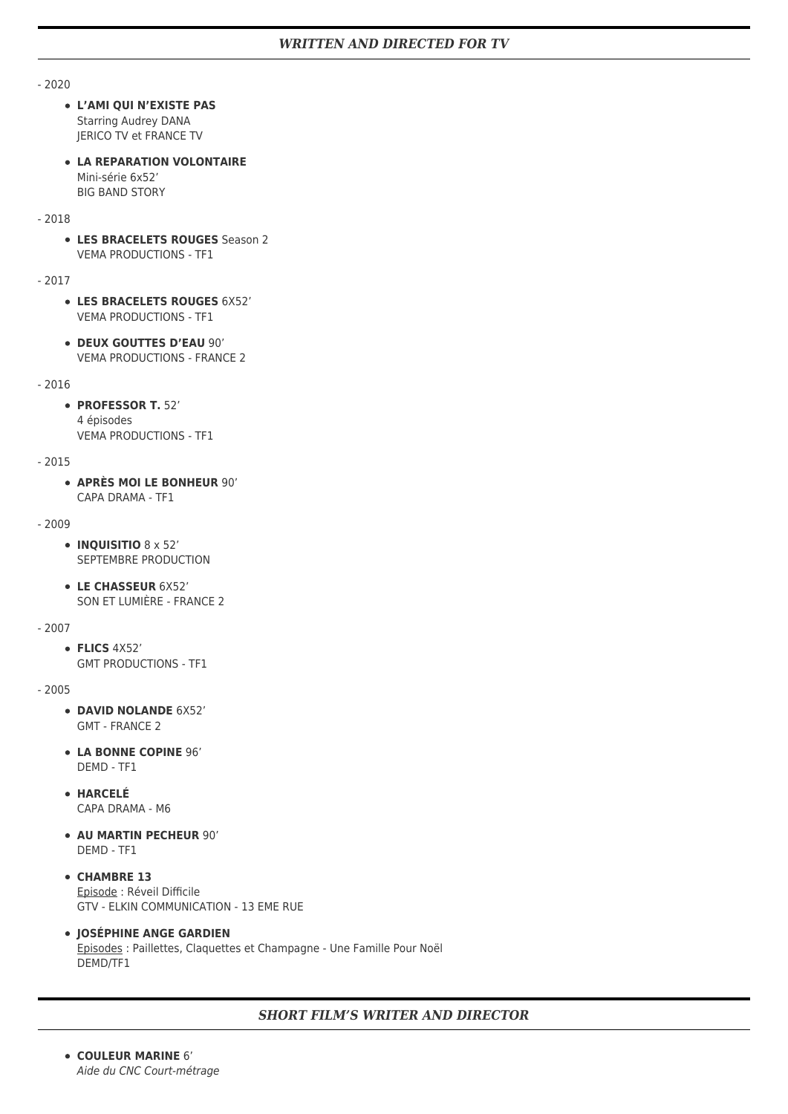- 2020

- **L'AMI QUI N'EXISTE PAS** Starring Audrey DANA JERICO TV et FRANCE TV
- **LA REPARATION VOLONTAIRE** Mini-série 6x52' BIG BAND STORY

#### - 2018

**LES BRACELETS ROUGES** Season 2 VEMA PRODUCTIONS - TF1

- 2017

- **LES BRACELETS ROUGES** 6X52' VEMA PRODUCTIONS - TF1
- **DEUX GOUTTES D'EAU** 90' VEMA PRODUCTIONS - FRANCE 2

#### - 2016

**PROFESSOR T.** 52' 4 épisodes VEMA PRODUCTIONS - TF1

- 2015

**APRÈS MOI LE BONHEUR** 90' CAPA DRAMA - TF1

#### - 2009

- **INQUISITIO** 8 x 52' SEPTEMBRE PRODUCTION
- **LE CHASSEUR** 6X52' SON ET LUMIÈRE - FRANCE 2

#### - 2007

**FLICS** 4X52' GMT PRODUCTIONS - TF1

#### - 2005

- **DAVID NOLANDE** 6X52' GMT - FRANCE 2
- **LA BONNE COPINE** 96' DEMD - TF1
- **HARCELÉ** CAPA DRAMA - M6
- **AU MARTIN PECHEUR** 90' DEMD - TF1
- **CHAMBRE 13** Episode : Réveil Difficile GTV - ELKIN COMMUNICATION - 13 EME RUE
- **JOSÉPHINE ANGE GARDIEN** Episodes : Paillettes, Claquettes et Champagne - Une Famille Pour Noël DEMD/TF1

# *SHORT FILM'S WRITER AND DIRECTOR*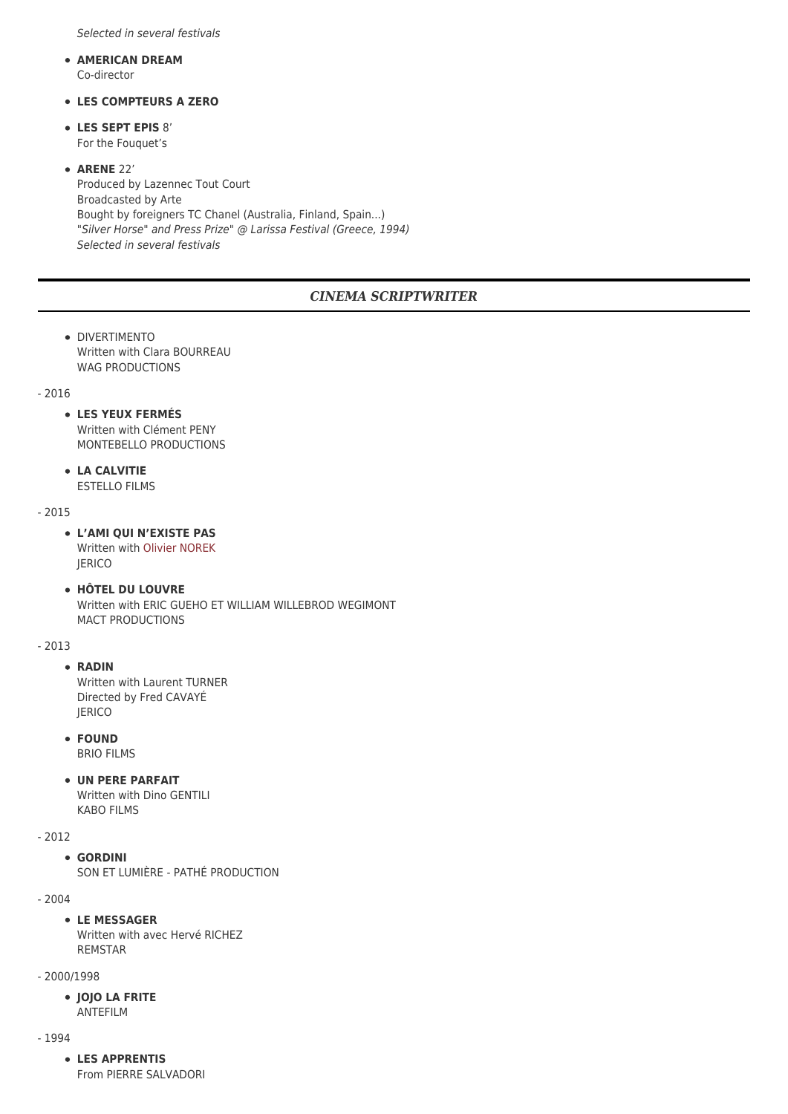Selected in several festivals

- **AMERICAN DREAM** Co-director
- **LES COMPTEURS A ZERO**
- **LES SEPT EPIS** 8' For the Fouquet's
- **ARENE** 22' Produced by Lazennec Tout Court Broadcasted by Arte Bought by foreigners TC Chanel (Australia, Finland, Spain...) "Silver Horse" and Press Prize" @ Larissa Festival (Greece, 1994) Selected in several festivals

# *CINEMA SCRIPTWRITER*

- **DIVERTIMENTO** Written with Clara BOURREAU WAG PRODUCTIONS
- 2016

### **LES YEUX FERMÉS**

Written with Clément PENY MONTEBELLO PRODUCTIONS

**LA CALVITIE**

ESTELLO FILMS

- 2015
	- **L'AMI QUI N'EXISTE PAS** Written with [Olivier NOREK](https://www.winckelmuller.com/Norek.html) JERICO
	- **HÔTEL DU LOUVRE** Written with ERIC GUEHO ET WILLIAM WILLEBROD WEGIMONT MACT PRODUCTIONS

#### - 2013

### **RADIN**

Written with Laurent TURNER Directed by Fred CAVAYÉ **JERICO** 

- **FOUND** BRIO FILMS
- **UN PERE PARFAIT**

Written with Dino GENTILI KABO FILMS

# - 2012

### **GORDINI**

SON ET LUMIÈRE - PATHÉ PRODUCTION

- 2004

### **LE MESSAGER**

Written with avec Hervé RICHEZ REMSTAR

- 2000/1998
	- **JOJO LA FRITE** ANTEFILM

- 1994

### **LES APPRENTIS**

From PIERRE SALVADORI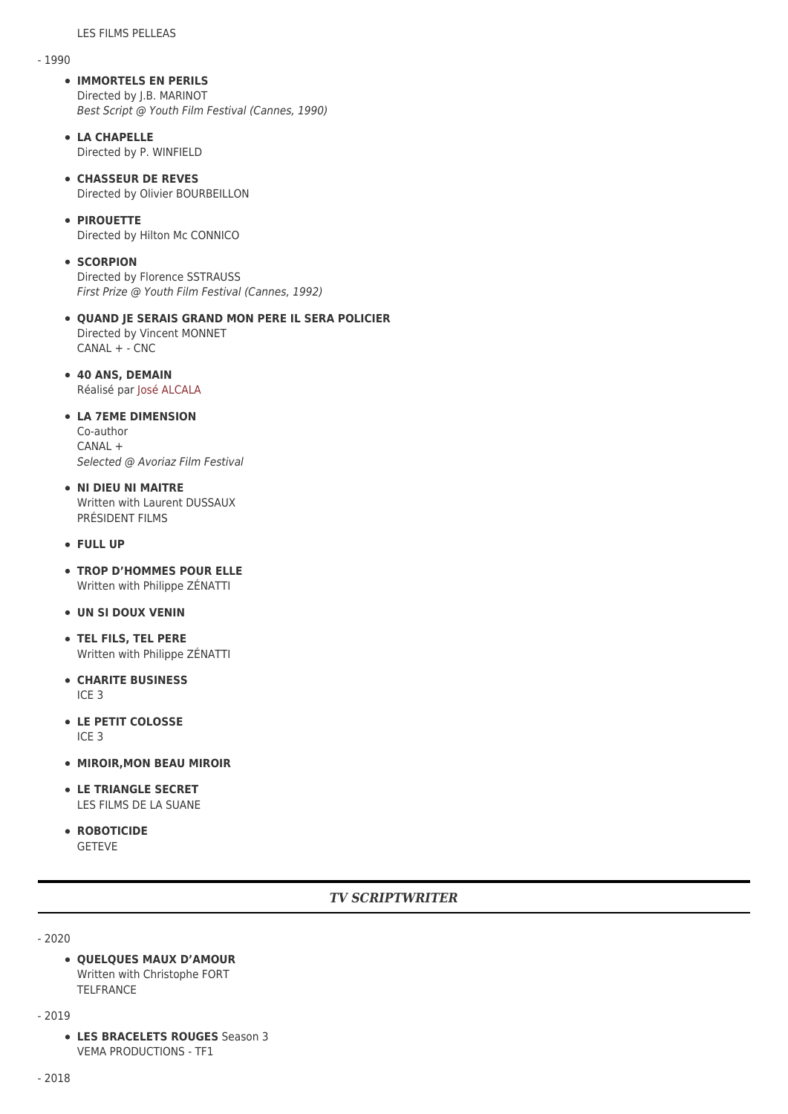### - 1990

- **IMMORTELS EN PERILS** Directed by J.B. MARINOT Best Script @ Youth Film Festival (Cannes, 1990)
- **LA CHAPELLE** Directed by P. WINFIELD
- **CHASSEUR DE REVES** Directed by Olivier BOURBEILLON
- **PIROUETTE**

Directed by Hilton Mc CONNICO

#### **• SCORPION**

Directed by Florence SSTRAUSS First Prize @ Youth Film Festival (Cannes, 1992)

- **QUAND JE SERAIS GRAND MON PERE IL SERA POLICIER** Directed by Vincent MONNET CANAL + - CNC
- **40 ANS, DEMAIN** Réalisé par [José ALCALA](https://www.winckelmuller.com/Alcala.html)

#### **LA 7EME DIMENSION** Co-author

CANAL + Selected @ Avoriaz Film Festival

- **NI DIEU NI MAITRE** Written with Laurent DUSSAUX PRÉSIDENT FILMS
- **FULL UP**
- **TROP D'HOMMES POUR ELLE** Written with Philippe ZÉNATTI
- **UN SI DOUX VENIN**
- **TEL FILS, TEL PERE** Written with Philippe ZÉNATTI
- **CHARITE BUSINESS** ICE 3
- **LE PETIT COLOSSE** ICE 3
- **MIROIR, MON BEAU MIROIR**
- **LE TRIANGLE SECRET** LES FILMS DE LA SUANE
- **ROBOTICIDE** GETEVE

# *TV SCRIPTWRITER*

- 2020

**QUELQUES MAUX D'AMOUR** Written with Christophe FORT TELFRANCE

- 2019

**LES BRACELETS ROUGES** Season 3 VEMA PRODUCTIONS - TF1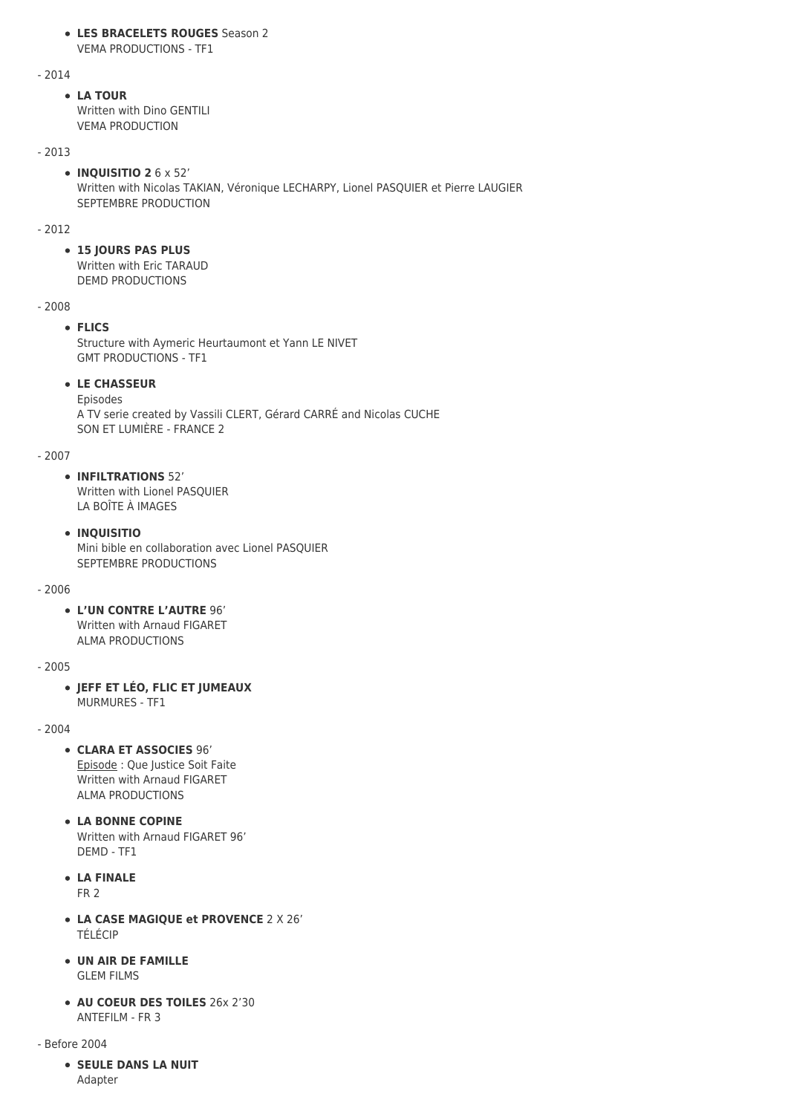#### **LES BRACELETS ROUGES** Season 2 VEMA PRODUCTIONS - TF1

- 2014

### **LA TOUR**

Written with Dino GENTILI VEMA PRODUCTION

### - 2013

**INQUISITIO 2** 6 x 52' Written with Nicolas TAKIAN, Véronique LECHARPY, Lionel PASQUIER et Pierre LAUGIER SEPTEMBRE PRODUCTION

### - 2012

# **15 JOURS PAS PLUS**

Written with Eric TARAUD DEMD PRODUCTIONS

### - 2008

# **FLICS**

Structure with Aymeric Heurtaumont et Yann LE NIVET GMT PRODUCTIONS - TF1

# **LE CHASSEUR**

Episodes A TV serie created by Vassili CLERT, Gérard CARRÉ and Nicolas CUCHE SON ET LUMIÈRE - FRANCE 2

### - 2007

**INFILTRATIONS** 52'

Written with Lionel PASQUIER LA BOÎTE À IMAGES

# **INQUISITIO**

Mini bible en collaboration avec Lionel PASQUIER SEPTEMBRE PRODUCTIONS

### - 2006

**L'UN CONTRE L'AUTRE** 96' Written with Arnaud FIGARET ALMA PRODUCTIONS

### - 2005

**JEFF ET LÉO, FLIC ET JUMEAUX** MURMURES - TF1

### $-2004$

**CLARA ET ASSOCIES** 96' Episode : Que Justice Soit Faite

Written with Arnaud FIGARET ALMA PRODUCTIONS

- **LA BONNE COPINE** Written with Arnaud FIGARET 96' DEMD - TF1
- **LA FINALE** FR 2
- **LA CASE MAGIQUE et PROVENCE** 2 X 26' TÉLÉCIP
- **UN AIR DE FAMILLE** GLEM FILMS
- **AU COEUR DES TOILES** 26x 2'30 ANTEFILM - FR 3

- Before 2004

**SEULE DANS LA NUIT** Adapter